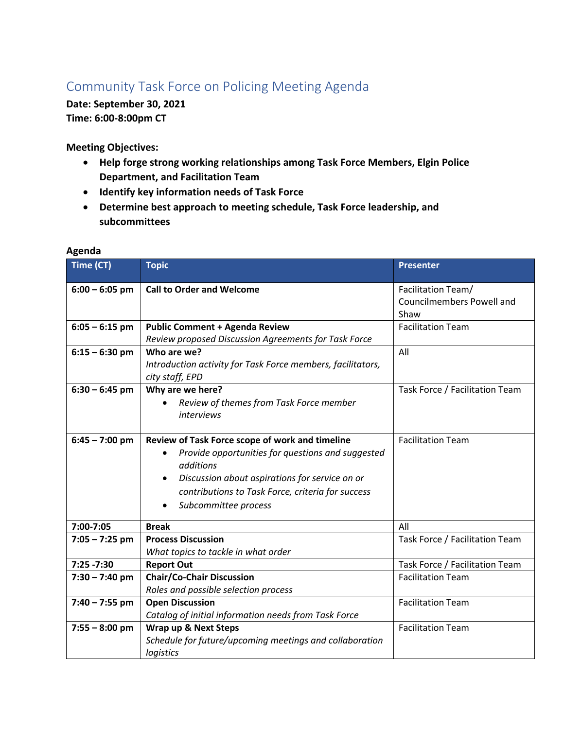## Community Task Force on Policing Meeting Agenda

**Date: September 30, 2021 Time: 6:00-8:00pm CT** 

**Meeting Objectives:** 

- **Help forge strong working relationships among Task Force Members, Elgin Police Department, and Facilitation Team**
- **Identify key information needs of Task Force**
- **Determine best approach to meeting schedule, Task Force leadership, and subcommittees**

| Time (CT)        | <b>Topic</b>                                                                                                                                                                                                                                                  | <b>Presenter</b>                                               |
|------------------|---------------------------------------------------------------------------------------------------------------------------------------------------------------------------------------------------------------------------------------------------------------|----------------------------------------------------------------|
| $6:00 - 6:05$ pm | <b>Call to Order and Welcome</b>                                                                                                                                                                                                                              | Facilitation Team/<br><b>Councilmembers Powell and</b><br>Shaw |
| $6:05 - 6:15$ pm | <b>Public Comment + Agenda Review</b>                                                                                                                                                                                                                         | <b>Facilitation Team</b>                                       |
| $6:15 - 6:30$ pm | Review proposed Discussion Agreements for Task Force<br>Who are we?<br>Introduction activity for Task Force members, facilitators,<br>city staff, EPD                                                                                                         | All                                                            |
| $6:30 - 6:45$ pm | Why are we here?<br>Review of themes from Task Force member<br><i>interviews</i>                                                                                                                                                                              | Task Force / Facilitation Team                                 |
| $6:45 - 7:00$ pm | Review of Task Force scope of work and timeline<br>Provide opportunities for questions and suggested<br>additions<br>Discussion about aspirations for service on or<br>$\bullet$<br>contributions to Task Force, criteria for success<br>Subcommittee process | <b>Facilitation Team</b>                                       |
| 7:00-7:05        | <b>Break</b>                                                                                                                                                                                                                                                  | All                                                            |
| $7:05 - 7:25$ pm | <b>Process Discussion</b><br>What topics to tackle in what order                                                                                                                                                                                              | Task Force / Facilitation Team                                 |
| $7:25 - 7:30$    | <b>Report Out</b>                                                                                                                                                                                                                                             | Task Force / Facilitation Team                                 |
| $7:30 - 7:40$ pm | <b>Chair/Co-Chair Discussion</b><br>Roles and possible selection process                                                                                                                                                                                      | <b>Facilitation Team</b>                                       |
| $7:40 - 7:55$ pm | <b>Open Discussion</b><br>Catalog of initial information needs from Task Force                                                                                                                                                                                | <b>Facilitation Team</b>                                       |
| $7:55 - 8:00$ pm | Wrap up & Next Steps<br>Schedule for future/upcoming meetings and collaboration<br>logistics                                                                                                                                                                  | <b>Facilitation Team</b>                                       |

## **Agenda**